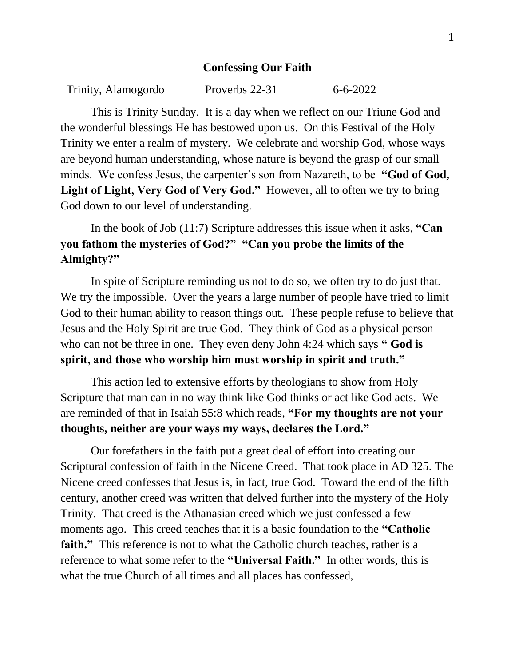## **Confessing Our Faith**

| Trinity, Alamogordo | Proverbs 22-31 | $6 - 6 - 2022$ |
|---------------------|----------------|----------------|
|                     |                |                |

This is Trinity Sunday. It is a day when we reflect on our Triune God and the wonderful blessings He has bestowed upon us. On this Festival of the Holy Trinity we enter a realm of mystery. We celebrate and worship God, whose ways are beyond human understanding, whose nature is beyond the grasp of our small minds. We confess Jesus, the carpenter's son from Nazareth, to be **"God of God, Light of Light, Very God of Very God."** However, all to often we try to bring God down to our level of understanding.

In the book of Job (11:7) Scripture addresses this issue when it asks, **"Can you fathom the mysteries of God?" "Can you probe the limits of the Almighty?"**

In spite of Scripture reminding us not to do so, we often try to do just that. We try the impossible. Over the years a large number of people have tried to limit God to their human ability to reason things out. These people refuse to believe that Jesus and the Holy Spirit are true God. They think of God as a physical person who can not be three in one. They even deny John 4:24 which says **" God is spirit, and those who worship him must worship in spirit and truth."**

This action led to extensive efforts by theologians to show from Holy Scripture that man can in no way think like God thinks or act like God acts. We are reminded of that in Isaiah 55:8 which reads, **"For my thoughts are not your thoughts, neither are your ways my ways, declares the Lord."**

Our forefathers in the faith put a great deal of effort into creating our Scriptural confession of faith in the Nicene Creed. That took place in AD 325. The Nicene creed confesses that Jesus is, in fact, true God. Toward the end of the fifth century, another creed was written that delved further into the mystery of the Holy Trinity. That creed is the Athanasian creed which we just confessed a few moments ago. This creed teaches that it is a basic foundation to the **"Catholic faith.**" This reference is not to what the Catholic church teaches, rather is a reference to what some refer to the **"Universal Faith."** In other words, this is what the true Church of all times and all places has confessed,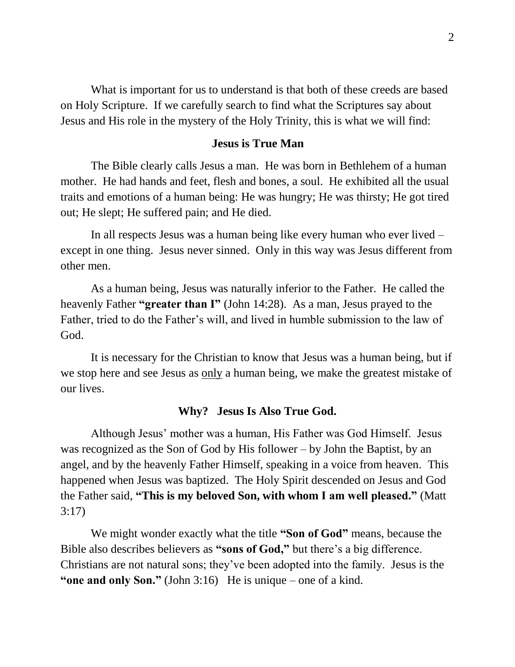What is important for us to understand is that both of these creeds are based on Holy Scripture. If we carefully search to find what the Scriptures say about Jesus and His role in the mystery of the Holy Trinity, this is what we will find:

## **Jesus is True Man**

The Bible clearly calls Jesus a man. He was born in Bethlehem of a human mother. He had hands and feet, flesh and bones, a soul. He exhibited all the usual traits and emotions of a human being: He was hungry; He was thirsty; He got tired out; He slept; He suffered pain; and He died.

In all respects Jesus was a human being like every human who ever lived – except in one thing. Jesus never sinned. Only in this way was Jesus different from other men.

As a human being, Jesus was naturally inferior to the Father. He called the heavenly Father **"greater than I"** (John 14:28). As a man, Jesus prayed to the Father, tried to do the Father's will, and lived in humble submission to the law of God.

It is necessary for the Christian to know that Jesus was a human being, but if we stop here and see Jesus as only a human being, we make the greatest mistake of our lives.

## **Why? Jesus Is Also True God.**

Although Jesus' mother was a human, His Father was God Himself. Jesus was recognized as the Son of God by His follower – by John the Baptist, by an angel, and by the heavenly Father Himself, speaking in a voice from heaven. This happened when Jesus was baptized. The Holy Spirit descended on Jesus and God the Father said, **"This is my beloved Son, with whom I am well pleased."** (Matt 3:17)

We might wonder exactly what the title **"Son of God"** means, because the Bible also describes believers as **"sons of God,"** but there's a big difference. Christians are not natural sons; they've been adopted into the family. Jesus is the **"one and only Son."** (John 3:16) He is unique – one of a kind.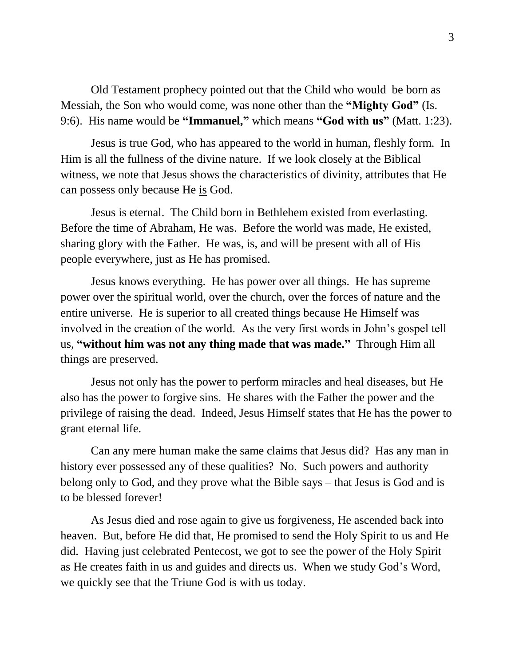Old Testament prophecy pointed out that the Child who would be born as Messiah, the Son who would come, was none other than the **"Mighty God"** (Is. 9:6). His name would be **"Immanuel,"** which means **"God with us"** (Matt. 1:23).

Jesus is true God, who has appeared to the world in human, fleshly form. In Him is all the fullness of the divine nature. If we look closely at the Biblical witness, we note that Jesus shows the characteristics of divinity, attributes that He can possess only because He is God.

Jesus is eternal. The Child born in Bethlehem existed from everlasting. Before the time of Abraham, He was. Before the world was made, He existed, sharing glory with the Father. He was, is, and will be present with all of His people everywhere, just as He has promised.

Jesus knows everything. He has power over all things. He has supreme power over the spiritual world, over the church, over the forces of nature and the entire universe. He is superior to all created things because He Himself was involved in the creation of the world. As the very first words in John's gospel tell us, **"without him was not any thing made that was made."** Through Him all things are preserved.

Jesus not only has the power to perform miracles and heal diseases, but He also has the power to forgive sins. He shares with the Father the power and the privilege of raising the dead. Indeed, Jesus Himself states that He has the power to grant eternal life.

Can any mere human make the same claims that Jesus did? Has any man in history ever possessed any of these qualities? No. Such powers and authority belong only to God, and they prove what the Bible says – that Jesus is God and is to be blessed forever!

As Jesus died and rose again to give us forgiveness, He ascended back into heaven. But, before He did that, He promised to send the Holy Spirit to us and He did. Having just celebrated Pentecost, we got to see the power of the Holy Spirit as He creates faith in us and guides and directs us. When we study God's Word, we quickly see that the Triune God is with us today.